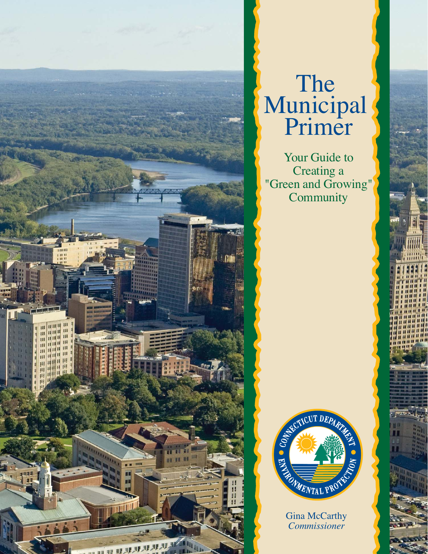

# The Municipal Primer

Your Guide to Creating a "Green and Growing" **Community** 



Gina McCarthy *Commissioner*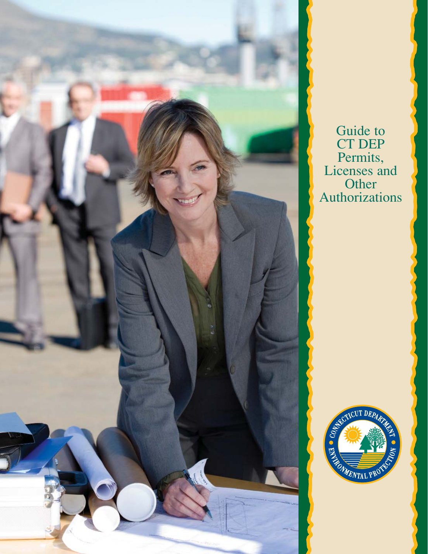

Guide to CT DEP Permits, Licenses and **Other** Authorizations

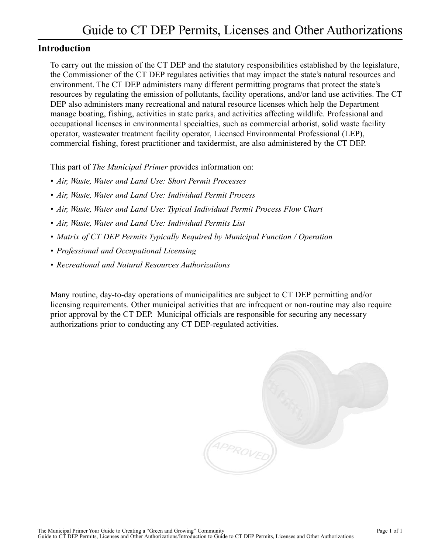### **Introduction**

To carry out the mission of the CT DEP and the statutory responsibilities established by the legislature, the Commissioner of the CT DEP regulates activities that may impact the state's natural resources and environment. The CT DEP administers many different permitting programs that protect the state's resources by regulating the emission of pollutants, facility operations, and/or land use activities. The CT DEP also administers many recreational and natural resource licenses which help the Department manage boating, fishing, activities in state parks, and activities affecting wildlife. Professional and occupational licenses in environmental specialties, such as commercial arborist, solid waste facility operator, wastewater treatment facility operator, Licensed Environmental Professional (LEP), commercial fishing, forest practitioner and taxidermist, are also administered by the CT DEP.

This part of *The Municipal Primer* provides information on:

- *[Air, Waste, Water and Land Use: Short Permit Processes](#page-6-0)*
- *[Air, Waste, Water and Land Use: Individual Permit Process](#page-8-0)*
- *[Air, Waste, Water and Land Use: Typical Individual Permit Process Flow Chart](#page-10-0)*
- *[Air, Waste, Water and Land Use: Individual Permits List](#page-12-0)*
- *[Matrix of CT DEP Permits Typically Required by Municipal Function / Operation](#page-18-0)*
- *• [Professional and Occupational Licensing](#page-24-0)*
- *• [Recreational and Natural Resources Authorizations](#page-28-0)*

Many routine, day-to-day operations of municipalities are subject to CT DEP permitting and/or licensing requirements. Other municipal activities that are infrequent or non-routine may also require prior approval by the CT DEP. Municipal officials are responsible for securing any necessary authorizations prior to conducting any CT DEP-regulated activities.

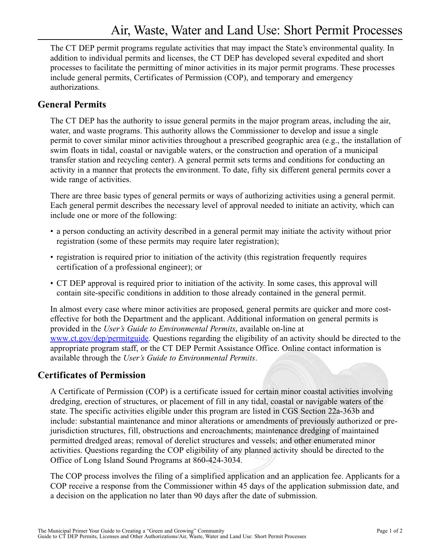<span id="page-6-0"></span>The CT DEP permit programs regulate activities that may impact the State's environmental quality. In addition to individual permits and licenses, the CT DEP has developed several expedited and short processes to facilitate the permitting of minor activities in its major permit programs. These processes include general permits, Certificates of Permission (COP), and temporary and emergency authorizations.

### **General Permits**

The CT DEP has the authority to issue general permits in the major program areas, including the air, water, and waste programs. This authority allows the Commissioner to develop and issue a single permit to cover similar minor activities throughout a prescribed geographic area (e.g., the installation of swim floats in tidal, coastal or navigable waters, or the construction and operation of a municipal transfer station and recycling center). A general permit sets terms and conditions for conducting an activity in a manner that protects the environment. To date, fifty six different general permits cover a wide range of activities.

There are three basic types of general permits or ways of authorizing activities using a general permit. Each general permit describes the necessary level of approval needed to initiate an activity, which can include one or more of the following:

- a person conducting an activity described in a general permit may initiate the activity without prior registration (some of these permits may require later registration);
- registration is required prior to initiation of the activity (this registration frequently requires certification of a professional engineer); or
- CT DEP approval is required prior to initiation of the activity. In some cases, this approval will contain site-specific conditions in addition to those already contained in the general permit.

In almost every case where minor activities are proposed, general permits are quicker and more costeffective for both the Department and the applicant. Additional information on general permits is provided in the *User's Guide to Environmental Permits*, available on-line at [www.ct.gov/dep/permitguide.](www.ct.gov/dep/permitguide) Questions regarding the eligibility of an activity should be directed to the appropriate program staff, or the CT DEP Permit Assistance Office. Online contact information is available through the *User's Guide to Environmental Permits*.

### **Certificates of Permission**

A Certificate of Permission (COP) is a certificate issued for certain minor coastal activities involving dredging, erection of structures, or placement of fill in any tidal, coastal or navigable waters of the state. The specific activities eligible under this program are listed in CGS Section 22a-363b and include: substantial maintenance and minor alterations or amendments of previously authorized or prejurisdiction structures, fill, obstructions and encroachments; maintenance dredging of maintained permitted dredged areas; removal of derelict structures and vessels; and other enumerated minor activities. Questions regarding the COP eligibility of any planned activity should be directed to the Office of Long Island Sound Programs at 860-424-3034.

The COP process involves the filing of a simplified application and an application fee. Applicants for a COP receive a response from the Commissioner within 45 days of the application submission date, and a decision on the application no later than 90 days after the date of submission.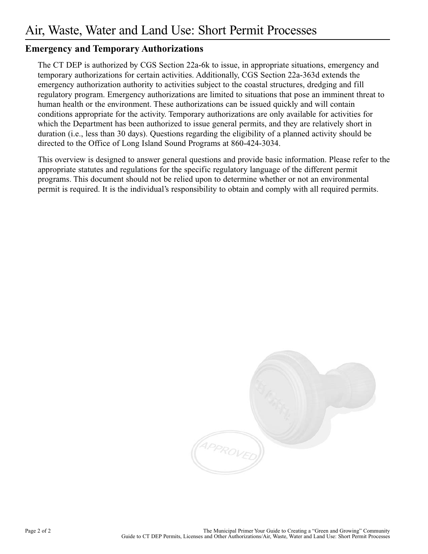### **Emergency and Temporary Authorizations**

The CT DEP is authorized by CGS Section 22a-6k to issue, in appropriate situations, emergency and temporary authorizations for certain activities. Additionally, CGS Section 22a-363d extends the emergency authorization authority to activities subject to the coastal structures, dredging and fill regulatory program. Emergency authorizations are limited to situations that pose an imminent threat to human health or the environment. These authorizations can be issued quickly and will contain conditions appropriate for the activity. Temporary authorizations are only available for activities for which the Department has been authorized to issue general permits, and they are relatively short in duration (i.e., less than 30 days). Questions regarding the eligibility of a planned activity should be directed to the Office of Long Island Sound Programs at 860-424-3034.

This overview is designed to answer general questions and provide basic information. Please refer to the appropriate statutes and regulations for the specific regulatory language of the different permit programs. This document should not be relied upon to determine whether or not an environmental permit is required. It is the individual's responsibility to obtain and comply with all required permits.

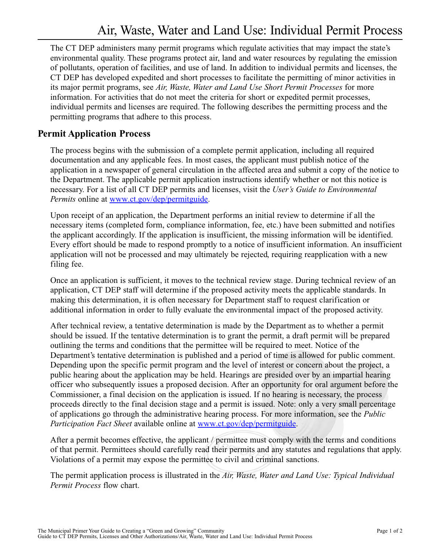<span id="page-8-0"></span>The CT DEP administers many permit programs which regulate activities that may impact the state's environmental quality. These programs protect air, land and water resources by regulating the emission of pollutants, operation of facilities, and use of land. In addition to individual permits and licenses, the CT DEP has developed expedited and short processes to facilitate the permitting of minor activities in its major permit programs, see *Air, Waste, Water and Land Use Short Permit Processes* for more information. For activities that do not meet the criteria for short or expedited permit processes, individual permits and licenses are required. The following describes the permitting process and the permitting programs that adhere to this process.

### **Permit Application Process**

The process begins with the submission of a complete permit application, including all required documentation and any applicable fees. In most cases, the applicant must publish notice of the application in a newspaper of general circulation in the affected area and submit a copy of the notice to the Department. The applicable permit application instructions identify whether or not this notice is necessary. For a list of all CT DEP permits and licenses, visit the *User's Guide to Environmental Permits* online at [www.ct.gov/dep/permitguide.](www.ct.gov/dep/permitguide)

Upon receipt of an application, the Department performs an initial review to determine if all the necessary items (completed form, compliance information, fee, etc.) have been submitted and notifies the applicant accordingly. If the application is insufficient, the missing information will be identified. Every effort should be made to respond promptly to a notice of insufficient information. An insufficient application will not be processed and may ultimately be rejected, requiring reapplication with a new filing fee.

Once an application is sufficient, it moves to the technical review stage. During technical review of an application, CT DEP staff will determine if the proposed activity meets the applicable standards. In making this determination, it is often necessary for Department staff to request clarification or additional information in order to fully evaluate the environmental impact of the proposed activity.

After technical review, a tentative determination is made by the Department as to whether a permit should be issued. If the tentative determination is to grant the permit, a draft permit will be prepared outlining the terms and conditions that the permittee will be required to meet. Notice of the Department's tentative determination is published and a period of time is allowed for public comment. Depending upon the specific permit program and the level of interest or concern about the project, a public hearing about the application may be held. Hearings are presided over by an impartial hearing officer who subsequently issues a proposed decision. After an opportunity for oral argument before the Commissioner, a final decision on the application is issued. If no hearing is necessary, the process proceeds directly to the final decision stage and a permit is issued. Note: only a very small percentage of applications go through the administrative hearing process. For more information, see the *Public Participation Fact Sheet* available online at [www.ct.gov/dep/permitguide.](www.ct.gov/dep/permitguide)

After a permit becomes effective, the applicant / permittee must comply with the terms and conditions of that permit. Permittees should carefully read their permits and any statutes and regulations that apply. Violations of a permit may expose the permittee to civil and criminal sanctions.

The permit application process is illustrated in the *Air, Waste, Water and Land Use: Typical Individual Permit Process* flow chart.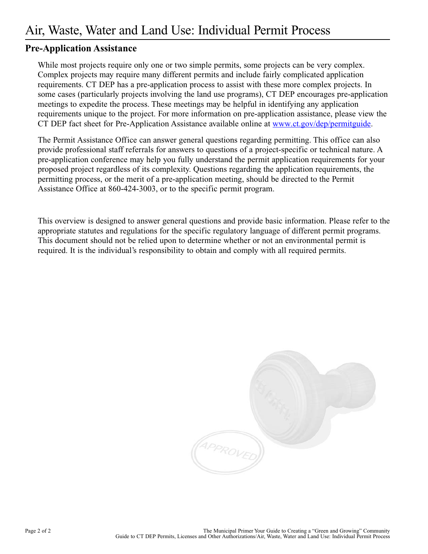### **Pre-Application Assistance**

While most projects require only one or two simple permits, some projects can be very complex. Complex projects may require many different permits and include fairly complicated application requirements. CT DEP has a pre-application process to assist with these more complex projects. In some cases (particularly projects involving the land use programs), CT DEP encourages pre-application meetings to expedite the process. These meetings may be helpful in identifying any application requirements unique to the project. For more information on pre-application assistance, please view the CT DEP fact sheet for Pre-Application Assistance available online at [www.ct.gov/dep/permitguide.](www.ct.gov/dep/permitguide)

The Permit Assistance Office can answer general questions regarding permitting. This office can also provide professional staff referrals for answers to questions of a project-specific or technical nature. A pre-application conference may help you fully understand the permit application requirements for your proposed project regardless of its complexity. Questions regarding the application requirements, the permitting process, or the merit of a pre-application meeting, should be directed to the Permit Assistance Office at 860-424-3003, or to the specific permit program.

This overview is designed to answer general questions and provide basic information. Please refer to the appropriate statutes and regulations for the specific regulatory language of different permit programs. This document should not be relied upon to determine whether or not an environmental permit is required. It is the individual's responsibility to obtain and comply with all required permits.

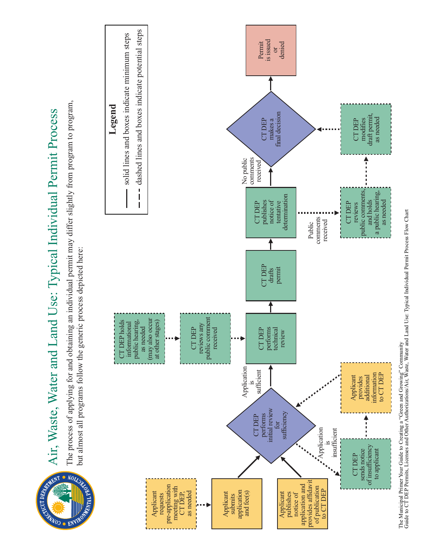

# Air, Waste, Water and Land Use: Typical Individual Permit Pro

<span id="page-10-0"></span> $\frac{1}{5}$ <br>  $\frac{1}{5}$ <br>  $\frac{1}{5}$ <br>  $\frac{1}{5}$ <br>  $\frac{1}{5}$ <br>  $\frac{1}{5}$ <br>  $\frac{1}{5}$ <br>  $\frac{1}{5}$ <br>
but almost all morning.<br>  $\therefore$ <br>  $\therefore$ <br>  $\therefore$ <br>  $\therefore$ <br>  $\therefore$ <br>  $\therefore$ <br>  $\therefore$ <br>  $\therefore$ <br>  $\therefore$ <br>  $\therefore$ <br>  $\therefore$ <br>  $\therefore$ <br>  $\therefore$ <br>  $\therefore$ <br>  $\therefore$ <br>  $\there$ The process of applying for and obtaining an individual permit may differ slightly from program to program, mit may differ slightly from program to program but almost all programs follow the generic process depicted here: most all programs follow



The Municipal Primer Your Guide to Creating a "Green and Growing" Com munity Guide to CT D EP Permits, Licenses and Other Authorizations/Air, Waste, Water and Land Use: Typical Individual Permit Process Flow Chart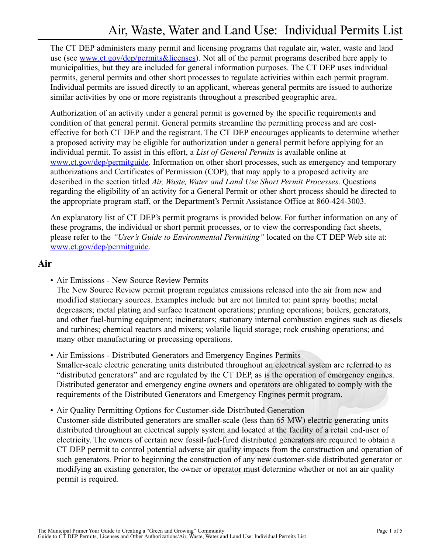<span id="page-12-0"></span>The CT DEP administers many permit and licensing programs that regulate air, water, waste and land use (see [www.ct.gov/dep/permits&licenses\)](www.ct.gov/dep/permits&licenses). Not all of the permit programs described here apply to municipalities, but they are included for general information purposes. The CT DEP uses individual permits, general permits and other short processes to regulate activities within each permit program. Individual permits are issued directly to an applicant, whereas general permits are issued to authorize similar activities by one or more registrants throughout a prescribed geographic area.

Authorization of an activity under a general permit is governed by the specific requirements and condition of that general permit. General permits streamline the permitting process and are costeffective for both CT DEP and the registrant. The CT DEP encourages applicants to determine whether a proposed activity may be eligible for authorization under a general permit before applying for an individual permit. To assist in this effort, a *List of General Permits* is available online at [www.ct.gov/dep/permitguide.](www.ct.gov/dep/permitguide) Information on other short processes, such as emergency and temporary authorizations and Certificates of Permission (COP), that may apply to a proposed activity are described in the section titled *Air, Waste, Water and Land Use Short Permit Processes*. Questions regarding the eligibility of an activity for a General Permit or other short process should be directed to the appropriate program staff, or the Department's Permit Assistance Office at 860-424-3003.

An explanatory list of CT DEP's permit programs is provided below. For further information on any of these programs, the individual or short permit processes, or to view the corresponding fact sheets, please refer to the *"User's Guide to Environmental Permitting"* located on the CT DEP Web site at: [www.ct.gov/dep/permitguide.](www.ct.gov/dep/permitguide)

### **Air**

• Air Emissions - New Source Review Permits

The New Source Review permit program regulates emissions released into the air from new and modified stationary sources. Examples include but are not limited to: paint spray booths; metal degreasers; metal plating and surface treatment operations; printing operations; boilers, generators, and other fuel-burning equipment; incinerators; stationary internal combustion engines such as diesels and turbines; chemical reactors and mixers; volatile liquid storage; rock crushing operations; and many other manufacturing or processing operations.

- Air Emissions Distributed Generators and Emergency Engines Permits Smaller-scale electric generating units distributed throughout an electrical system are referred to as "distributed generators" and are regulated by the CT DEP, as is the operation of emergency engines. Distributed generator and emergency engine owners and operators are obligated to comply with the requirements of the Distributed Generators and Emergency Engines permit program.
- Air Quality Permitting Options for Customer-side Distributed Generation Customer-side distributed generators are smaller-scale (less than 65 MW) electric generating units distributed throughout an electrical supply system and located at the facility of a retail end-user of electricity. The owners of certain new fossil-fuel-fired distributed generators are required to obtain a CT DEP permit to control potential adverse air quality impacts from the construction and operation of such generators. Prior to beginning the construction of any new customer-side distributed generator or modifying an existing generator, the owner or operator must determine whether or not an air quality permit is required.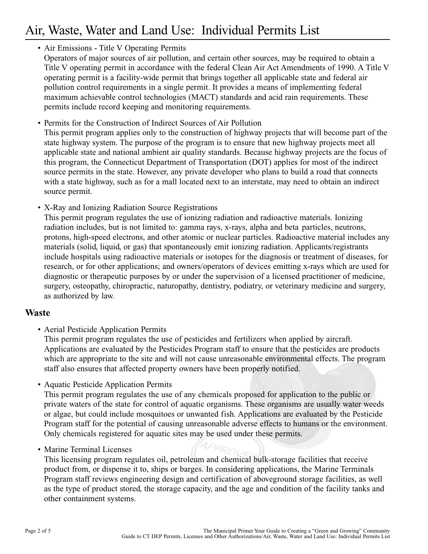# Air, Waste, Water and Land Use: Individual Permits List

### • Air Emissions - Title V Operating Permits

Operators of major sources of air pollution, and certain other sources, may be required to obtain a Title V operating permit in accordance with the federal Clean Air Act Amendments of 1990. A Title V operating permit is a facility-wide permit that brings together all applicable state and federal air pollution control requirements in a single permit. It provides a means of implementing federal maximum achievable control technologies (MACT) standards and acid rain requirements. These permits include record keeping and monitoring requirements.

- Permits for the Construction of Indirect Sources of Air Pollution This permit program applies only to the construction of highway projects that will become part of the state highway system. The purpose of the program is to ensure that new highway projects meet all applicable state and national ambient air quality standards. Because highway projects are the focus of this program, the Connecticut Department of Transportation (DOT) applies for most of the indirect source permits in the state. However, any private developer who plans to build a road that connects with a state highway, such as for a mall located next to an interstate, may need to obtain an indirect source permit.
- X-Ray and Ionizing Radiation Source Registrations

This permit program regulates the use of ionizing radiation and radioactive materials. Ionizing radiation includes, but is not limited to: gamma rays, x-rays, alpha and beta particles, neutrons, protons, high-speed electrons, and other atomic or nuclear particles. Radioactive material includes any materials (solid, liquid, or gas) that spontaneously emit ionizing radiation. Applicants/registrants include hospitals using radioactive materials or isotopes for the diagnosis or treatment of diseases, for research, or for other applications; and owners/operators of devices emitting x-rays which are used for diagnostic or therapeutic purposes by or under the supervision of a licensed practitioner of medicine, surgery, osteopathy, chiropractic, naturopathy, dentistry, podiatry, or veterinary medicine and surgery, as authorized by law.

### **Waste**

• Aerial Pesticide Application Permits

This permit program regulates the use of pesticides and fertilizers when applied by aircraft. Applications are evaluated by the Pesticides Program staff to ensure that the pesticides are products which are appropriate to the site and will not cause unreasonable environmental effects. The program staff also ensures that affected property owners have been properly notified.

• Aquatic Pesticide Application Permits

This permit program regulates the use of any chemicals proposed for application to the public or private waters of the state for control of aquatic organisms. These organisms are usually water weeds or algae, but could include mosquitoes or unwanted fish. Applications are evaluated by the Pesticide Program staff for the potential of causing unreasonable adverse effects to humans or the environment. Only chemicals registered for aquatic sites may be used under these permits.

• Marine Terminal Licenses

This licensing program regulates oil, petroleum and chemical bulk-storage facilities that receive product from, or dispense it to, ships or barges. In considering applications, the Marine Terminals Program staff reviews engineering design and certification of aboveground storage facilities, as well as the type of product stored, the storage capacity, and the age and condition of the facility tanks and other containment systems.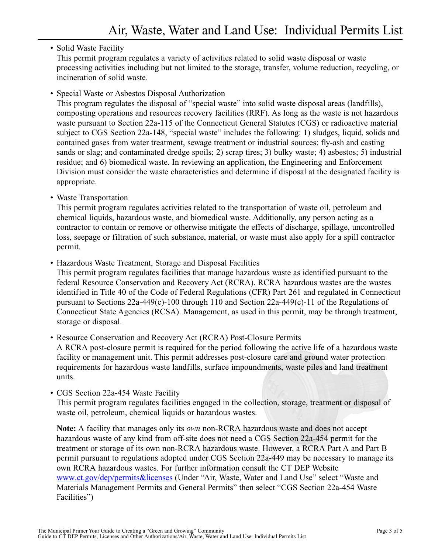### • Solid Waste Facility

This permit program regulates a variety of activities related to solid waste disposal or waste processing activities including but not limited to the storage, transfer, volume reduction, recycling, or incineration of solid waste.

• Special Waste or Asbestos Disposal Authorization

This program regulates the disposal of "special waste" into solid waste disposal areas (landfills), composting operations and resources recovery facilities (RRF). As long as the waste is not hazardous waste pursuant to Section 22a-115 of the Connecticut General Statutes (CGS) or radioactive material subject to CGS Section 22a-148, "special waste" includes the following: 1) sludges, liquid, solids and contained gases from water treatment, sewage treatment or industrial sources; fly-ash and casting sands or slag; and contaminated dredge spoils; 2) scrap tires; 3) bulky waste; 4) asbestos; 5) industrial residue; and 6) biomedical waste. In reviewing an application, the Engineering and Enforcement Division must consider the waste characteristics and determine if disposal at the designated facility is appropriate.

• Waste Transportation

This permit program regulates activities related to the transportation of waste oil, petroleum and chemical liquids, hazardous waste, and biomedical waste. Additionally, any person acting as a contractor to contain or remove or otherwise mitigate the effects of discharge, spillage, uncontrolled loss, seepage or filtration of such substance, material, or waste must also apply for a spill contractor permit.

• Hazardous Waste Treatment, Storage and Disposal Facilities

This permit program regulates facilities that manage hazardous waste as identified pursuant to the federal Resource Conservation and Recovery Act (RCRA). RCRA hazardous wastes are the wastes identified in Title 40 of the Code of Federal Regulations (CFR) Part 261 and regulated in Connecticut pursuant to Sections 22a-449(c)-100 through 110 and Section 22a-449(c)-11 of the Regulations of Connecticut State Agencies (RCSA). Management, as used in this permit, may be through treatment, storage or disposal.

• Resource Conservation and Recovery Act (RCRA) Post-Closure Permits

A RCRA post-closure permit is required for the period following the active life of a hazardous waste facility or management unit. This permit addresses post-closure care and ground water protection requirements for hazardous waste landfills, surface impoundments, waste piles and land treatment units.

• CGS Section 22a-454 Waste Facility

This permit program regulates facilities engaged in the collection, storage, treatment or disposal of waste oil, petroleum, chemical liquids or hazardous wastes.

**Note:** A facility that manages only its *own* non-RCRA hazardous waste and does not accept hazardous waste of any kind from off-site does not need a CGS Section 22a-454 permit for the treatment or storage of its own non-RCRA hazardous waste. However, a RCRA Part A and Part B permit pursuant to regulations adopted under CGS Section 22a-449 may be necessary to manage its own RCRA hazardous wastes. For further information consult the CT DEP Website <www.ct.gov/dep/permits&licenses> (Under "Air, Waste, Water and Land Use" select "Waste and Materials Management Permits and General Permits" then select "CGS Section 22a-454 Waste Facilities")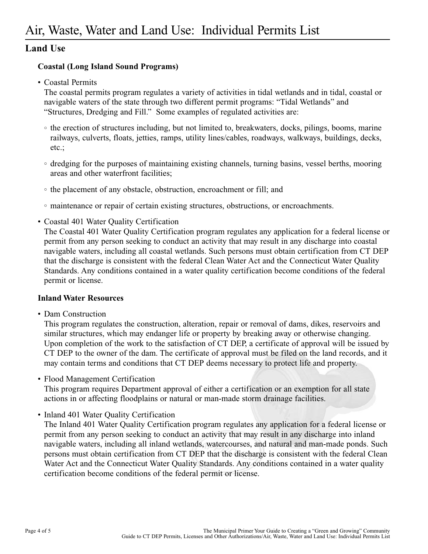### **Land Use**

### **Coastal (Long Island Sound Programs)**

• Coastal Permits

The coastal permits program regulates a variety of activities in tidal wetlands and in tidal, coastal or navigable waters of the state through two different permit programs: "Tidal Wetlands" and "Structures, Dredging and Fill." Some examples of regulated activities are:

- the erection of structures including, but not limited to, breakwaters, docks, pilings, booms, marine railways, culverts, floats, jetties, ramps, utility lines/cables, roadways, walkways, buildings, decks, etc.;
- dredging for the purposes of maintaining existing channels, turning basins, vessel berths, mooring areas and other waterfront facilities;
- the placement of any obstacle, obstruction, encroachment or fill; and
- maintenance or repair of certain existing structures, obstructions, or encroachments.
- Coastal 401 Water Quality Certification

The Coastal 401 Water Quality Certification program regulates any application for a federal license or permit from any person seeking to conduct an activity that may result in any discharge into coastal navigable waters, including all coastal wetlands. Such persons must obtain certification from CT DEP that the discharge is consistent with the federal Clean Water Act and the Connecticut Water Quality Standards. Any conditions contained in a water quality certification become conditions of the federal permit or license.

### **Inland Water Resources**

• Dam Construction

This program regulates the construction, alteration, repair or removal of dams, dikes, reservoirs and similar structures, which may endanger life or property by breaking away or otherwise changing. Upon completion of the work to the satisfaction of CT DEP, a certificate of approval will be issued by CT DEP to the owner of the dam. The certificate of approval must be filed on the land records, and it may contain terms and conditions that CT DEP deems necessary to protect life and property.

• Flood Management Certification

This program requires Department approval of either a certification or an exemption for all state actions in or affecting floodplains or natural or man-made storm drainage facilities.

• Inland 401 Water Quality Certification

The Inland 401 Water Quality Certification program regulates any application for a federal license or permit from any person seeking to conduct an activity that may result in any discharge into inland navigable waters, including all inland wetlands, watercourses, and natural and man-made ponds. Such persons must obtain certification from CT DEP that the discharge is consistent with the federal Clean Water Act and the Connecticut Water Quality Standards. Any conditions contained in a water quality certification become conditions of the federal permit or license.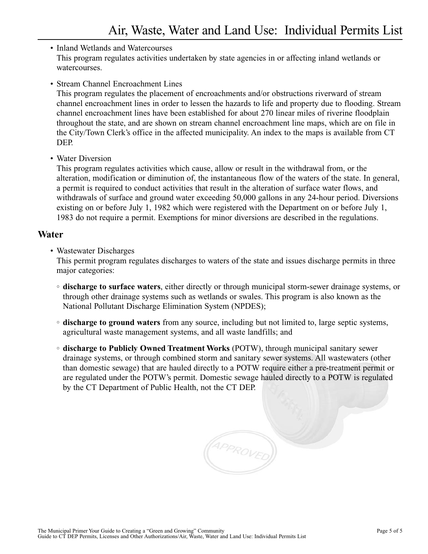### • Inland Wetlands and Watercourses This program regulates activities undertaken by state agencies in or affecting inland wetlands or watercourses.

### • Stream Channel Encroachment Lines

This program regulates the placement of encroachments and/or obstructions riverward of stream channel encroachment lines in order to lessen the hazards to life and property due to flooding. Stream channel encroachment lines have been established for about 270 linear miles of riverine floodplain throughout the state, and are shown on stream channel encroachment line maps, which are on file in the City/Town Clerk's office in the affected municipality. An index to the maps is available from CT DEP.

### • Water Diversion

This program regulates activities which cause, allow or result in the withdrawal from, or the alteration, modification or diminution of, the instantaneous flow of the waters of the state. In general, a permit is required to conduct activities that result in the alteration of surface water flows, and withdrawals of surface and ground water exceeding 50,000 gallons in any 24-hour period. Diversions existing on or before July 1, 1982 which were registered with the Department on or before July 1, 1983 do not require a permit. Exemptions for minor diversions are described in the regulations.

### **Water**

• Wastewater Discharges

This permit program regulates discharges to waters of the state and issues discharge permits in three major categories:

- **discharge to surface waters**, either directly or through municipal storm-sewer drainage systems, or through other drainage systems such as wetlands or swales. This program is also known as the National Pollutant Discharge Elimination System (NPDES);
- **discharge to ground waters** from any source, including but not limited to, large septic systems, agricultural waste management systems, and all waste landfills; and
- **discharge to Publicly Owned Treatment Works** (POTW), through municipal sanitary sewer drainage systems, or through combined storm and sanitary sewer systems. All wastewaters (other than domestic sewage) that are hauled directly to a POTW require either a pre-treatment permit or are regulated under the POTW's permit. Domestic sewage hauled directly to a POTW is regulated by the CT Department of Public Health, not the CT DEP.

APPROVED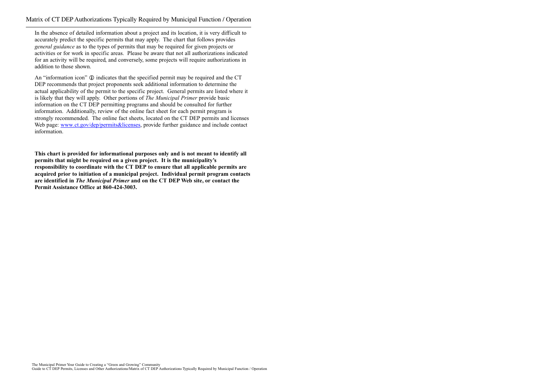<span id="page-18-0"></span>In the absence of detailed information about a project and its location, it is very difficult to accurately predict the specific permits that may apply. The chart that follows provides *general guidance* as to the types of permits that may be required for given projects or activities or for work in specific areas. Please be aware that not all authorizations indicated for an activity will be required, and conversely, some projects will require authorizations in addition to those shown.

An "information icon"  $\odot$  indicates that the specified permit may be required and the CT DEP recommends that project proponents seek additional information to determine the actual applicability of the permit to the specific project. General permits are listed where it is likely that they will apply. Other portions of *The Municipal Primer* provide basic information on the CT DEP permitting programs and should be consulted for further information. Additionally, review of the online fact sheet for each permit program is strongly recommended. The online fact sheets, located on the CT DEP permits and licenses Web page: [www.ct.gov/dep/permits&licenses,](www.ct.gov/dep/permits&licenses) provide further guidance and include contact information.

**This chart is provided for informational purposes only and is not meant to identify all permits that might be required on a given project. It is the municipality's responsibility to coordinate with the CT DEP to ensure that all applicable permits are acquired prior to initiation of a municipal project. Individual permit program contacts are identified in** *The Municipal Primer* **and on the CT DEP Web site, or contact the Permit Assistance Office at 860-424-3003.**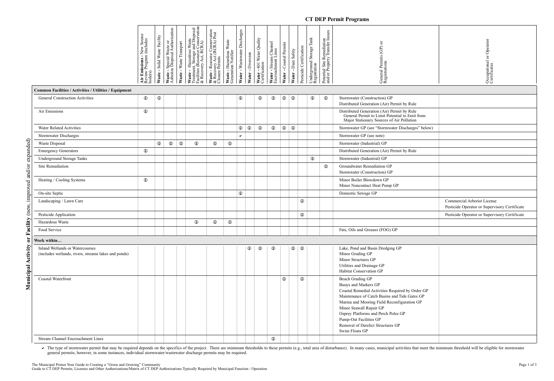The type of stormwater permit that may be required depends on the specifics of the project. There are minimum thresholds to these permits (e.g., total area of disturbance). In many cases, municipal activities that meet the general permits; however, in some instances, individual stormwater/wastewater discharge permits may be required.

### **CT DEP Permit Programs**

| Occupational or Operator<br>Certificates                                     |
|------------------------------------------------------------------------------|
|                                                                              |
|                                                                              |
|                                                                              |
|                                                                              |
|                                                                              |
|                                                                              |
|                                                                              |
|                                                                              |
|                                                                              |
|                                                                              |
|                                                                              |
|                                                                              |
| Commercial Arborist License<br>Pesticide Operator or Supervisory Certificate |
| Pesticide Operator or Supervisory Certificate                                |
|                                                                              |
|                                                                              |
|                                                                              |
|                                                                              |
|                                                                              |
|                                                                              |
|                                                                              |
|                                                                              |
|                                                                              |
|                                                                              |
|                                                                              |
|                                                                              |
|                                                                              |

|                                                                                         | <b>Air Emissions -</b> New Source<br>Review Program (includes<br>boilers) | Waste - Solid Waste Facility | Waste - Special Waste or<br>Asbestos Disposal Authorization | Waste - Waste Transport | $\begin{tabular}{l} \textbf{Waste} - Hazardous Waste \\ \textbf{Treatment, Storage and Disposal} \\ \textbf{Realities (Resource Conservation)} \\ \text& & Recovery Act, RCRA) \\ \end{tabular}$ | Waste - Resource Conservation<br>& Recovery Act (RCRA) Post<br>Closure Permits | Waste - Hazardous Waste<br>Generation Notifier | Water - Wastewater Discharges | Water - Diversion | Water - 401 Water Quality<br>Certification | Water - Stream Channel<br>Encroachment Lines | Water - Coastal Permits | - Dam Safety<br>Water | Pesticide Certification           | Underground Storage Tank<br>Registration | Potential Site Remediation<br>and/or Property Transfer Issues | General Permits (GP) or<br>Registrations                                                                                                                                                                                                                                                                                                        | rator<br>Opeq<br>Occupational or<br>Certificates                             |
|-----------------------------------------------------------------------------------------|---------------------------------------------------------------------------|------------------------------|-------------------------------------------------------------|-------------------------|--------------------------------------------------------------------------------------------------------------------------------------------------------------------------------------------------|--------------------------------------------------------------------------------|------------------------------------------------|-------------------------------|-------------------|--------------------------------------------|----------------------------------------------|-------------------------|-----------------------|-----------------------------------|------------------------------------------|---------------------------------------------------------------|-------------------------------------------------------------------------------------------------------------------------------------------------------------------------------------------------------------------------------------------------------------------------------------------------------------------------------------------------|------------------------------------------------------------------------------|
| <b>Common Facilities / Activities / Utilities / Equipment</b>                           |                                                                           |                              |                                                             |                         |                                                                                                                                                                                                  |                                                                                |                                                |                               |                   |                                            |                                              |                         |                       |                                   |                                          |                                                               |                                                                                                                                                                                                                                                                                                                                                 |                                                                              |
| General Construction Activities                                                         | $\mathbf 0$                                                               | $\mathbf 0$                  |                                                             |                         |                                                                                                                                                                                                  |                                                                                |                                                | $\mathbb O$                   |                   | $^\circledR$                               | $\mathbb{O}$                                 | $\odot$                 | $^\circledR$          |                                   | $\mathbf 0$                              | $\mathbf 0$                                                   | Stormwater (Construction) GP<br>Distributed Generation (Air) Permit by Rule                                                                                                                                                                                                                                                                     |                                                                              |
| Air Emissions                                                                           | $^\circledR$                                                              |                              |                                                             |                         |                                                                                                                                                                                                  |                                                                                |                                                |                               |                   |                                            |                                              |                         |                       |                                   |                                          |                                                               | Distributed Generation (Air) Permit by Rule<br>General Permit to Limit Potential to Emit from<br>Major Stationary Sources of Air Pollution                                                                                                                                                                                                      |                                                                              |
| Water Related Activities                                                                |                                                                           |                              |                                                             |                         |                                                                                                                                                                                                  |                                                                                |                                                | $\mathbb{O} \mid \mathbb{O}$  |                   | $\mathbb O$                                | $\mathbf 0$                                  |                         | $\circ$ $\circ$       |                                   |                                          |                                                               | Stormwater GP (see "Stormwater Discharges" below)                                                                                                                                                                                                                                                                                               |                                                                              |
| Stormwater Discharges                                                                   |                                                                           |                              |                                                             |                         |                                                                                                                                                                                                  |                                                                                |                                                | $\checkmark$                  |                   |                                            |                                              |                         |                       |                                   |                                          |                                                               | Stormwater GP (see note)                                                                                                                                                                                                                                                                                                                        |                                                                              |
| Waste Disposal                                                                          |                                                                           | $\mathbf 0$                  | $\mathbb O$                                                 | $\mathbf 0$             | $\mathbb{O}$                                                                                                                                                                                     | $^\circledR$                                                                   | $\mathbf 0$                                    |                               |                   |                                            |                                              |                         |                       |                                   |                                          |                                                               | Stormwater (Industrial) GP                                                                                                                                                                                                                                                                                                                      |                                                                              |
| <b>Emergency Generators</b>                                                             | $\mathbb O$                                                               |                              |                                                             |                         |                                                                                                                                                                                                  |                                                                                |                                                |                               |                   |                                            |                                              |                         |                       |                                   |                                          |                                                               | Distributed Generation (Air) Permit by Rule                                                                                                                                                                                                                                                                                                     |                                                                              |
| Underground Storage Tanks                                                               |                                                                           |                              |                                                             |                         |                                                                                                                                                                                                  |                                                                                |                                                |                               |                   |                                            |                                              |                         |                       |                                   | $\mathbb O$                              |                                                               | Stormwater (Industrial) GP                                                                                                                                                                                                                                                                                                                      |                                                                              |
| Site Remediation                                                                        |                                                                           |                              |                                                             |                         |                                                                                                                                                                                                  |                                                                                |                                                |                               |                   |                                            |                                              |                         |                       |                                   |                                          | $\mathbf 0$                                                   | Groundwater Remediation GP<br>Stormwater (Construction) GP                                                                                                                                                                                                                                                                                      |                                                                              |
| Heating / Cooling Systems                                                               | $\mathbb O$                                                               |                              |                                                             |                         |                                                                                                                                                                                                  |                                                                                |                                                |                               |                   |                                            |                                              |                         |                       |                                   |                                          |                                                               | Minor Boiler Blowdown GP<br>Minor Noncontact Heat Pump GP                                                                                                                                                                                                                                                                                       |                                                                              |
| On-site Septic                                                                          |                                                                           |                              |                                                             |                         |                                                                                                                                                                                                  |                                                                                |                                                | $\mathbb O$                   |                   |                                            |                                              |                         |                       |                                   |                                          |                                                               | Domestic Sewage GP                                                                                                                                                                                                                                                                                                                              |                                                                              |
| Landscaping / Lawn Care                                                                 |                                                                           |                              |                                                             |                         |                                                                                                                                                                                                  |                                                                                |                                                |                               |                   |                                            |                                              |                         |                       | $\mathbb O$                       |                                          |                                                               |                                                                                                                                                                                                                                                                                                                                                 | Commercial Arborist License<br>Pesticide Operator or Supervisory Certificate |
| Pesticide Application                                                                   |                                                                           |                              |                                                             |                         |                                                                                                                                                                                                  |                                                                                |                                                |                               |                   |                                            |                                              |                         |                       | $\mathbb O$                       |                                          |                                                               |                                                                                                                                                                                                                                                                                                                                                 | Pesticide Operator or Supervisory Certificate                                |
| Hazardous Waste                                                                         |                                                                           |                              |                                                             |                         | $\mathbb O$                                                                                                                                                                                      | $\mathbf 0$                                                                    | $\mathbf 0$                                    |                               |                   |                                            |                                              |                         |                       |                                   |                                          |                                                               |                                                                                                                                                                                                                                                                                                                                                 |                                                                              |
| Food Service                                                                            |                                                                           |                              |                                                             |                         |                                                                                                                                                                                                  |                                                                                |                                                |                               |                   |                                            |                                              |                         |                       |                                   |                                          |                                                               | Fats, Oils and Greases (FOG) GP                                                                                                                                                                                                                                                                                                                 |                                                                              |
| Work within                                                                             |                                                                           |                              |                                                             |                         |                                                                                                                                                                                                  |                                                                                |                                                |                               |                   |                                            |                                              |                         |                       |                                   |                                          |                                                               |                                                                                                                                                                                                                                                                                                                                                 |                                                                              |
| Inland Wetlands or Watercourses<br>(includes wetlands, rivers, streams lakes and ponds) |                                                                           |                              |                                                             |                         |                                                                                                                                                                                                  |                                                                                |                                                |                               | $\mathbb O$       | $^\circledR$                               | $\mathbf 0$                                  |                         |                       | $\mathbb{O} \setminus \mathbb{O}$ |                                          |                                                               | Lake, Pond and Basin Dredging GP<br>Minor Grading GP<br>Minor Structures GP<br>Utilities and Drainage GP<br>Habitat Conservation GP                                                                                                                                                                                                             |                                                                              |
| Coastal Waterfront                                                                      |                                                                           |                              |                                                             |                         |                                                                                                                                                                                                  |                                                                                |                                                |                               |                   |                                            |                                              | $\mathbb{O}$            |                       | $\bigcirc$                        |                                          |                                                               | Beach Grading GP<br>Buoys and Markers GP<br>Coastal Remedial Activities Required by Order GP<br>Maintenance of Catch Basins and Tide Gates GP<br>Marina and Mooring Field Reconfiguration GP<br>Minor Seawall Repair GP<br>Osprey Platforms and Perch Poles GP<br>Pump-Out Facilities GP<br>Removal of Derelict Structures GP<br>Swim Floats GP |                                                                              |
| Stream Channel Encroachment Lines                                                       |                                                                           |                              |                                                             |                         |                                                                                                                                                                                                  |                                                                                |                                                |                               |                   |                                            | $\odot$                                      |                         |                       |                                   |                                          |                                                               |                                                                                                                                                                                                                                                                                                                                                 |                                                                              |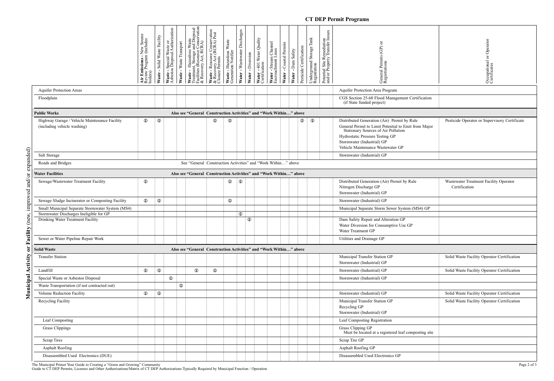### **CT DEP Permit Programs**

|                                                                                         | <b>Emissions - New Sour<br/>iew Program (includes</b><br>oilers)   | Waste - Solid Waste Facility | Waste - Special Waste or<br>Asbestos Disposal Authorization<br>Waste - Waste Transport | <b>VASte - Hazardous Waste</b><br>Treatment, Storage and Disposal<br>Facilities (Resource Conservation<br>& Recovery Act, RCRA)<br>Waste - H<br>Treatment, | <b>Vaste - R</b> esource Conservation<br>と Recovery Act (RCRA) Post<br>Closure Permits | Waste - Hazardous Waste<br>Generation Notifier | Discharges<br>Nater - Wastewater | Water - Diversion | <b>Water - 401 Water Quality</b><br>Certification | Water - Stream Channel<br>Encroachment Lines | Water - Coastal Permits | Water - Dam Safety | Pesticide Certification | Underground Storage Tank<br>Registration | Potential Site Remediation<br>and/or Property Transfer Issues | General Permits (GP) or<br>Registrations                                                                                                                                                                                                         | Operato<br>đ<br>Occupational of<br>Certificates         |
|-----------------------------------------------------------------------------------------|--------------------------------------------------------------------|------------------------------|----------------------------------------------------------------------------------------|------------------------------------------------------------------------------------------------------------------------------------------------------------|----------------------------------------------------------------------------------------|------------------------------------------------|----------------------------------|-------------------|---------------------------------------------------|----------------------------------------------|-------------------------|--------------------|-------------------------|------------------------------------------|---------------------------------------------------------------|--------------------------------------------------------------------------------------------------------------------------------------------------------------------------------------------------------------------------------------------------|---------------------------------------------------------|
| <b>Aquifer Protection Areas</b>                                                         |                                                                    |                              |                                                                                        |                                                                                                                                                            |                                                                                        |                                                |                                  |                   |                                                   |                                              |                         |                    |                         |                                          |                                                               | Aquifer Protection Area Program                                                                                                                                                                                                                  |                                                         |
| Floodplain                                                                              |                                                                    |                              |                                                                                        |                                                                                                                                                            |                                                                                        |                                                |                                  |                   |                                                   |                                              |                         |                    |                         |                                          |                                                               | CGS Section 25-68 Flood Management Certification<br>(if State funded project)                                                                                                                                                                    |                                                         |
| <b>Public Works</b>                                                                     | Also see "General Construction Activities" and "Work Within" above |                              |                                                                                        |                                                                                                                                                            |                                                                                        |                                                |                                  |                   |                                                   |                                              |                         |                    |                         |                                          |                                                               |                                                                                                                                                                                                                                                  |                                                         |
| Highway Garage / Vehicle Maintenance Facility<br>(including vehicle washing)            | $\mathbf 0$                                                        | $\mathbf 0$                  |                                                                                        |                                                                                                                                                            | $\circ$                                                                                | $\mathbb{O}$                                   |                                  |                   |                                                   |                                              |                         |                    | $^\circledR$            | $^\circledR$                             |                                                               | Distributed Generation (Air) Permit by Rule<br>General Permit to Limit Potential to Emit from Major<br>Stationary Sources of Air Pollution<br>Hydrostatic Pressure Testing GP<br>Stormwater (Industrial) GP<br>Vehicle Maintenance Wastewater GP | Pesticide Operator or Supervisory Certificate           |
| Salt Storage                                                                            |                                                                    |                              |                                                                                        |                                                                                                                                                            |                                                                                        |                                                |                                  |                   |                                                   |                                              |                         |                    |                         |                                          |                                                               | Stormwater (Industrial) GP                                                                                                                                                                                                                       |                                                         |
| (panded<br>Roads and Bridges                                                            | See "General Construction Activities" and "Work Within" above      |                              |                                                                                        |                                                                                                                                                            |                                                                                        |                                                |                                  |                   |                                                   |                                              |                         |                    |                         |                                          |                                                               |                                                                                                                                                                                                                                                  |                                                         |
| <b>Water Facilities</b>                                                                 |                                                                    |                              |                                                                                        | Also see "General Construction Activities" and "Work Within" above                                                                                         |                                                                                        |                                                |                                  |                   |                                                   |                                              |                         |                    |                         |                                          |                                                               |                                                                                                                                                                                                                                                  |                                                         |
| $\mathop{\mathrm{and}}$<br>Sewage/Wastewater Treatment Facility                         | $\mathbf 0$                                                        |                              |                                                                                        |                                                                                                                                                            |                                                                                        | $\mathbb O$                                    | $^\circledR$                     |                   |                                                   |                                              |                         |                    |                         |                                          |                                                               | Distributed Generation (Air) Permit by Rule<br>Nitrogen Discharge GP<br>Stormwater (Industrial) GP                                                                                                                                               | Wastewater Treatment Facility Operator<br>Certification |
| improved<br>Sewage Sludge Incinerator or Composting Facility                            | $\mathbf 0$                                                        | $\mathbb O$                  |                                                                                        |                                                                                                                                                            |                                                                                        | $\mathbf 0$                                    |                                  |                   |                                                   |                                              |                         |                    |                         |                                          |                                                               | Stormwater (Industrial) GP                                                                                                                                                                                                                       |                                                         |
| Small Municipal Separate Stormwater System (MS4)                                        |                                                                    |                              |                                                                                        |                                                                                                                                                            |                                                                                        |                                                |                                  |                   |                                                   |                                              |                         |                    |                         |                                          |                                                               | Municipal Separate Storm Sewer System (MS4) GP                                                                                                                                                                                                   |                                                         |
| Stormwater Discharges Ineligible for GP<br>Drinking Water Treatment Facility<br>acility |                                                                    |                              |                                                                                        |                                                                                                                                                            |                                                                                        |                                                | $\circ$                          | $\mathbb{O}$      |                                                   |                                              |                         |                    |                         |                                          |                                                               | Dam Safety Repair and Alteration GP<br>Water Diversion for Consumptive Use GP<br>Water Treatment GP                                                                                                                                              |                                                         |
| Sewer or Water Pipeline Repair Work                                                     |                                                                    |                              |                                                                                        |                                                                                                                                                            |                                                                                        |                                                |                                  |                   |                                                   |                                              |                         |                    |                         |                                          |                                                               | Utilities and Drainage GP                                                                                                                                                                                                                        |                                                         |
| č<br><b>Solid Waste</b>                                                                 |                                                                    |                              |                                                                                        | Also see "General Construction Activities" and "Work Within" above                                                                                         |                                                                                        |                                                |                                  |                   |                                                   |                                              |                         |                    |                         |                                          |                                                               |                                                                                                                                                                                                                                                  |                                                         |
| ctivity<br><b>Transfer Station</b>                                                      |                                                                    |                              |                                                                                        |                                                                                                                                                            |                                                                                        |                                                |                                  |                   |                                                   |                                              |                         |                    |                         |                                          |                                                               | Municipal Transfer Station GP<br>Stormwater (Industrial) GP                                                                                                                                                                                      | Solid Waste Facility Operator Certification             |
| Landfill<br>◀                                                                           | $^\circledR$                                                       | $\mathbf 0$                  |                                                                                        | $\mathbb{O}$                                                                                                                                               | $\mathbb O$                                                                            |                                                |                                  |                   |                                                   |                                              |                         |                    |                         |                                          |                                                               | Stormwater (Industrial) GP                                                                                                                                                                                                                       | Solid Waste Facility Operator Certification             |
| Municipal<br>Special Waste or Asbestos Disposal                                         |                                                                    |                              | $\mathbf 0$                                                                            |                                                                                                                                                            |                                                                                        |                                                |                                  |                   |                                                   |                                              |                         |                    |                         |                                          |                                                               | Stormwater (Industrial) GP                                                                                                                                                                                                                       |                                                         |
| Waste Transportation (if not contracted out)                                            |                                                                    |                              | $\mathbb O$                                                                            |                                                                                                                                                            |                                                                                        |                                                |                                  |                   |                                                   |                                              |                         |                    |                         |                                          |                                                               |                                                                                                                                                                                                                                                  |                                                         |
| Volume Reduction Facility                                                               | $\mathbf 0$                                                        | $\mathbb{O}$                 |                                                                                        |                                                                                                                                                            |                                                                                        |                                                |                                  |                   |                                                   |                                              |                         |                    |                         |                                          |                                                               | Stormwater (Industrial) GP                                                                                                                                                                                                                       | Solid Waste Facility Operator Certification             |
| Recycling Facility                                                                      |                                                                    |                              |                                                                                        |                                                                                                                                                            |                                                                                        |                                                |                                  |                   |                                                   |                                              |                         |                    |                         |                                          |                                                               | Municipal Transfer Station GP<br>Recycling GP<br>Stormwater (Industrial) GP                                                                                                                                                                      | Solid Waste Facility Operator Certification             |
| Leaf Composting                                                                         |                                                                    |                              |                                                                                        |                                                                                                                                                            |                                                                                        |                                                |                                  |                   |                                                   |                                              |                         |                    |                         |                                          |                                                               | Leaf Composting Registration                                                                                                                                                                                                                     |                                                         |
| <b>Grass Clippings</b>                                                                  |                                                                    |                              |                                                                                        |                                                                                                                                                            |                                                                                        |                                                |                                  |                   |                                                   |                                              |                         |                    |                         |                                          |                                                               | Grass Clipping GP<br>Must be located at a registered leaf composting site                                                                                                                                                                        |                                                         |
| <b>Scrap Tires</b>                                                                      |                                                                    |                              |                                                                                        |                                                                                                                                                            |                                                                                        |                                                |                                  |                   |                                                   |                                              |                         |                    |                         |                                          |                                                               | Scrap Tire GP                                                                                                                                                                                                                                    |                                                         |
| <b>Asphalt Roofing</b>                                                                  |                                                                    |                              |                                                                                        |                                                                                                                                                            |                                                                                        |                                                |                                  |                   |                                                   |                                              |                         |                    |                         |                                          |                                                               | Asphalt Roofing GP                                                                                                                                                                                                                               |                                                         |
| Disassembled Used Electronics (DUE)                                                     |                                                                    |                              |                                                                                        |                                                                                                                                                            |                                                                                        |                                                |                                  |                   |                                                   |                                              |                         |                    |                         |                                          |                                                               | Disassembled Used Electronics GP                                                                                                                                                                                                                 |                                                         |

The Municipal Primer Your Guide to Creating a "Green and Growing" Community Page 2 of 3

Guide to CT DEP Permits, Licenses and Other Authorizations/Matrix of CT DEP Authorizations Typically Required by Municipal Function / Operation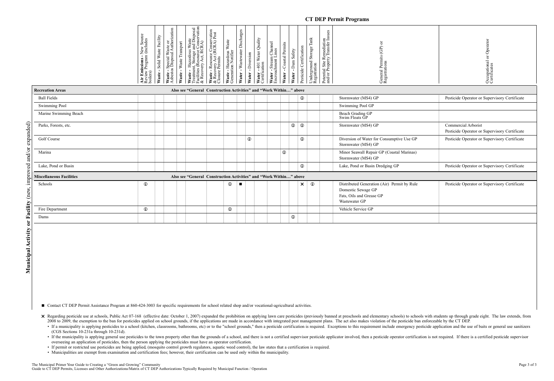### **CT DEP Permit Programs**

| New Source<br>(includes<br>Emissions - I<br>Tew Program<br>Review<br>boilers)<br>٠ir<br>∢ ≃                                     |
|---------------------------------------------------------------------------------------------------------------------------------|
| Facility<br>Waste<br>Solid<br>Waste                                                                                             |
| g<br>Authorizati<br>ä<br>Waste<br>Special Wa<br>S Disposal<br>stos<br>Waste<br>sbe<br>≺                                         |
| Transport<br>Waste<br>Waste                                                                                                     |
| <b>Waste - Hazardous Waste</b><br>Treatment, Storage and Disposal<br>Facilities (Resource Conservation<br>& Recovery Act, RCRA) |
| vation<br>Post<br>- Resource Conserv<br>very Act (RCRA) I<br>Permits<br>Waste - 1<br>& Recov<br>$&$ Recondensity                |
| Waste<br>Hazardous \<br>ion Notifier<br>Generation<br>Waste                                                                     |
| Discharges<br>Wastewater<br>Water                                                                                               |
| Diversion<br>Water                                                                                                              |
| Quality<br>Water<br>cation<br>$\overline{10}$<br>Water<br>Certific                                                              |
| <b>hannel</b><br>ines<br>$\check{ }$<br>Stream<br>nnent L<br>Water - Stream<br>Encroachment                                     |
| s<br>Permits<br>bastal<br>پ<br>Water                                                                                            |
| Safety<br>Dam<br>Water                                                                                                          |
| ertification<br>ب<br>Pesticide                                                                                                  |
| Tank<br>Storage<br>Underground<br>Registration                                                                                  |
| Potential Site Remediation<br>and/or Property Transfer Issues<br>Site                                                           |
| ä<br>A<br>ヒ<br>Permits<br>Genera<br>Registrations<br><b>Jeneral</b>                                                             |

| Occupational or Operator<br>Certificates |
|------------------------------------------|
|                                          |
|                                          |
|                                          |

| <b>Recreation Areas</b>         | Also see "General Construction Activities" and "Work Within" above |              |                |             |            |             |                 |              |                                                                                                                |                                                                      |
|---------------------------------|--------------------------------------------------------------------|--------------|----------------|-------------|------------|-------------|-----------------|--------------|----------------------------------------------------------------------------------------------------------------|----------------------------------------------------------------------|
| <b>Ball Fields</b>              |                                                                    |              |                |             |            |             | $\odot$         |              | Stormwater (MS4) GP                                                                                            | Pesticide Operator or Supervisory Certificate                        |
| <b>Swimming Pool</b>            |                                                                    |              |                |             |            |             |                 |              | Swimming Pool GP                                                                                               |                                                                      |
| Marine Swimming Beach           |                                                                    |              |                |             |            |             |                 |              | Beach Grading GP<br>Swim Floats GP                                                                             |                                                                      |
| Parks, Forests, etc.            |                                                                    |              |                |             |            |             | $\odot$ $\odot$ |              | Stormwater (MS4) GP                                                                                            | Commercial Arborist<br>Pesticide Operator or Supervisory Certificate |
| Golf Course                     |                                                                    |              |                | $\mathbb O$ |            |             | $\mathbb O$     |              | Diversion of Water for Consumptive Use GP<br>Stormwater (MS4) GP                                               | Pesticide Operator or Supervisory Certificate                        |
| Marina                          |                                                                    |              |                |             | $^{\circ}$ |             |                 |              | Minor Seawall Repair GP (Coastal Marinas)<br>Stormwater (MS4) GP                                               |                                                                      |
| Lake, Pond or Basin             |                                                                    |              |                |             |            |             | $\mathbf 0$     |              | Lake, Pond or Basin Dredging GP                                                                                | Pesticide Operator or Supervisory Certificate                        |
| <b>Miscellaneous Facilities</b> | Also see "General Construction Activities" and "Work Within" above |              |                |             |            |             |                 |              |                                                                                                                |                                                                      |
| Schools                         | $\mathbf{r}$                                                       | $\mathbf 0$  | $\blacksquare$ |             |            |             | $\times$        | $^\circledR$ | Distributed Generation (Air) Permit by Rule<br>Domestic Sewage GP<br>Fats, Oils and Grease GP<br>Wastewater GP | Pesticide Operator or Supervisory Certificate                        |
| Fire Department                 | $^\circledR$                                                       | $^\circledR$ |                |             |            |             |                 |              | Vehicle Service GP                                                                                             |                                                                      |
| Dams                            |                                                                    |              |                |             |            | $\mathbf 0$ |                 |              |                                                                                                                |                                                                      |

■ Contact CT DEP Permit Assistance Program at 860-424-3003 for specific requirements for school related shop and/or vocational-agricultural activities.

X Regarding pesticide use at schools, Public Act 07-168 (effective date: October 1, 2007) expanded the prohibition on applying lawn care pesticides (previously banned at preschools and elementary schools) to schools with s 2008 to 2009, the exemption to the ban for pesticides applied on school grounds, if the applications are made in accordance with integrated pest management plans. The act also makes violation of the pesticide ban enforceab

- If a municipality is applying pesticides to a school (kitchen, classrooms, bathrooms, etc) or to the "school grounds," then a pesticide certification is required. Exceptions to this requirement include emergency pesticid (CGS Sections 10-231a through 10-231d).
- If the municipality is applying general use pesticides to the town property other than the grounds of a school, and there is not a certified supervisor pesticide applicator involved, then a pesticide operator certificati overseeing an application of pesticides, then the person applying the pesticides must have an operator certification.
- If permit or restricted use pesticides are being applied, (mosquito control growth regulators, aquatic weed control), the law states that a certification is required.
- Municipalities are exempt from examination and certification fees; however, their certification can be used only within the municipality.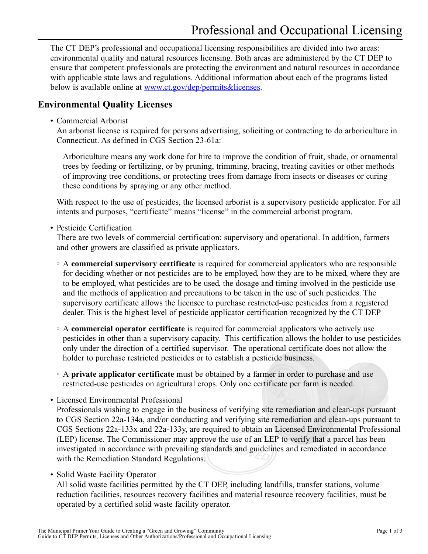<span id="page-24-0"></span>The CT DEP's professional and occupational licensing responsibilities are divided into two areas: environmental quality and natural resources licensing. Both areas are administered by the CT DEP to ensure that competent professionals are protecting the environment and natural resources in accordance with applicable state laws and regulations. Additional information about each of the programs listed below is available online at [www.ct.gov/dep/permits&licenses.](www.ct.gov/dep/permits&licenses)

### **Environmental Quality Licenses**

• Commercial Arborist

An arborist license is required for persons advertising, soliciting or contracting to do arboriculture in Connecticut. As defined in CGS Section 23-61a:

Arboriculture means any work done for hire to improve the condition of fruit, shade, or ornamental trees by feeding or fertilizing, or by pruning, trimming, bracing, treating cavities or other methods of improving tree conditions, or protecting trees from damage from insects or diseases or curing these conditions by spraying or any other method.

With respect to the use of pesticides, the licensed arborist is a supervisory pesticide applicator. For all intents and purposes, "certificate" means "license" in the commercial arborist program.

• Pesticide Certification

There are two levels of commercial certification: supervisory and operational. In addition, farmers and other growers are classified as private applicators.

- A **commercial supervisory certificate** is required for commercial applicators who are responsible for deciding whether or not pesticides are to be employed, how they are to be mixed, where they are to be employed, what pesticides are to be used, the dosage and timing involved in the pesticide use and the methods of application and precautions to be taken in the use of such pesticides. The supervisory certificate allows the licensee to purchase restricted-use pesticides from a registered dealer. This is the highest level of pesticide applicator certification recognized by the CT DEP
- A **commercial operator certificate** is required for commercial applicators who actively use pesticides in other than a supervisory capacity. This certification allows the holder to use pesticides only under the direction of a certified supervisor. The operational certificate does not allow the holder to purchase restricted pesticides or to establish a pesticide business.
- A **private applicator certificate** must be obtained by a farmer in order to purchase and use restricted-use pesticides on agricultural crops. Only one certificate per farm is needed.
- Licensed Environmental Professional Professionals wishing to engage in the business of verifying site remediation and clean-ups pursuant to CGS Section 22a-134a, and/or conducting and verifying site remediation and clean-ups pursuant to CGS Sections 22a-133x and 22a-133y, are required to obtain an Licensed Environmental Professional (LEP) license. The Commissioner may approve the use of an LEP to verify that a parcel has been investigated in accordance with prevailing standards and guidelines and remediated in accordance with the Remediation Standard Regulations.
- Solid Waste Facility Operator

All solid waste facilities permitted by the CT DEP, including landfills, transfer stations, volume reduction facilities, resources recovery facilities and material resource recovery facilities, must be operated by a certified solid waste facility operator.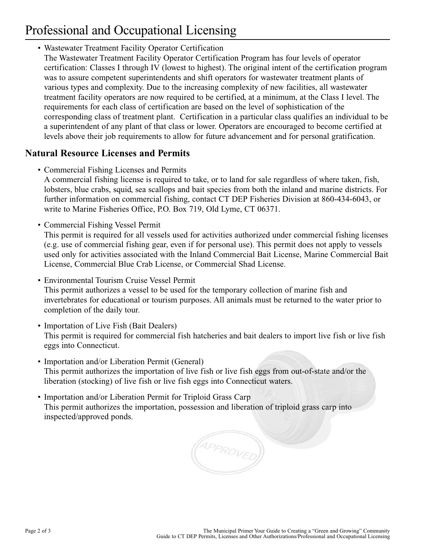# Professional and Occupational Licensing

• Wastewater Treatment Facility Operator Certification The Wastewater Treatment Facility Operator Certification Program has four levels of operator certification: Classes I through IV (lowest to highest). The original intent of the certification program was to assure competent superintendents and shift operators for wastewater treatment plants of various types and complexity. Due to the increasing complexity of new facilities, all wastewater treatment facility operators are now required to be certified, at a minimum, at the Class I level. The requirements for each class of certification are based on the level of sophistication of the corresponding class of treatment plant. Certification in a particular class qualifies an individual to be a superintendent of any plant of that class or lower. Operators are encouraged to become certified at levels above their job requirements to allow for future advancement and for personal gratification.

### **Natural Resource Licenses and Permits**

- Commercial Fishing Licenses and Permits A commercial fishing license is required to take, or to land for sale regardless of where taken, fish, lobsters, blue crabs, squid, sea scallops and bait species from both the inland and marine districts. For further information on commercial fishing, contact CT DEP Fisheries Division at 860-434-6043, or write to Marine Fisheries Office, P.O. Box 719, Old Lyme, CT 06371.
- Commercial Fishing Vessel Permit

This permit is required for all vessels used for activities authorized under commercial fishing licenses (e.g. use of commercial fishing gear, even if for personal use). This permit does not apply to vessels used only for activities associated with the Inland Commercial Bait License, Marine Commercial Bait License, Commercial Blue Crab License, or Commercial Shad License.

• Environmental Tourism Cruise Vessel Permit

This permit authorizes a vessel to be used for the temporary collection of marine fish and invertebrates for educational or tourism purposes. All animals must be returned to the water prior to completion of the daily tour.

- Importation of Live Fish (Bait Dealers) This permit is required for commercial fish hatcheries and bait dealers to import live fish or live fish eggs into Connecticut.
- Importation and/or Liberation Permit (General) This permit authorizes the importation of live fish or live fish eggs from out-of-state and/or the liberation (stocking) of live fish or live fish eggs into Connecticut waters.
- Importation and/or Liberation Permit for Triploid Grass Carp This permit authorizes the importation, possession and liberation of triploid grass carp into inspected/approved ponds.

APPROVED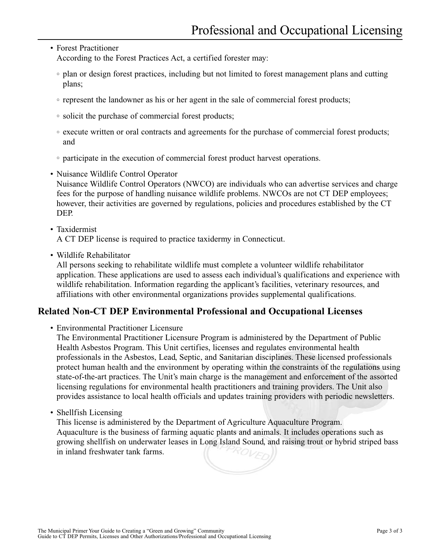### • Forest Practitioner

According to the Forest Practices Act, a certified forester may:

- plan or design forest practices, including but not limited to forest management plans and cutting plans;
- represent the landowner as his or her agent in the sale of commercial forest products;
- solicit the purchase of commercial forest products;
- execute written or oral contracts and agreements for the purchase of commercial forest products; and
- participate in the execution of commercial forest product harvest operations.
- Nuisance Wildlife Control Operator Nuisance Wildlife Control Operators (NWCO) are individuals who can advertise services and charge fees for the purpose of handling nuisance wildlife problems. NWCOs are not CT DEP employees; however, their activities are governed by regulations, policies and procedures established by the CT DEP.
- Taxidermist

A CT DEP license is required to practice taxidermy in Connecticut.

• Wildlife Rehabilitator

All persons seeking to rehabilitate wildlife must complete a volunteer wildlife rehabilitator application. These applications are used to assess each individual's qualifications and experience with wildlife rehabilitation. Information regarding the applicant's facilities, veterinary resources, and affiliations with other environmental organizations provides supplemental qualifications.

### **Related Non-CT DEP Environmental Professional and Occupational Licenses**

• Environmental Practitioner Licensure

The Environmental Practitioner Licensure Program is administered by the Department of Public Health Asbestos Program. This Unit certifies, licenses and regulates environmental health professionals in the Asbestos, Lead, Septic, and Sanitarian disciplines. These licensed professionals protect human health and the environment by operating within the constraints of the regulations using state-of-the-art practices. The Unit's main charge is the management and enforcement of the assorted licensing regulations for environmental health practitioners and training providers. The Unit also provides assistance to local health officials and updates training providers with periodic newsletters.

• Shellfish Licensing

This license is administered by the Department of Agriculture Aquaculture Program. Aquaculture is the business of farming aquatic plants and animals. It includes operations such as growing shellfish on underwater leases in Long Island Sound, and raising trout or hybrid striped bass in inland freshwater tank farms.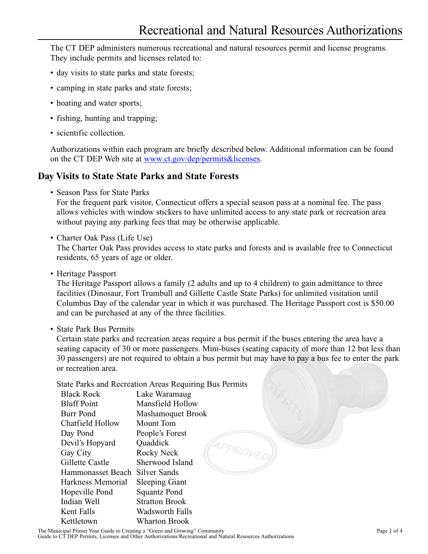<span id="page-28-0"></span>The CT DEP administers numerous recreational and natural resources permit and license programs. They include permits and licenses related to:

- day visits to state parks and state forests;
- camping in state parks and state forests;
- boating and water sports;
- fishing, hunting and trapping;
- scientific collection.

Authorizations within each program are briefly described below. Additional information can be found on the CT DEP Web site at [www.ct.gov/dep/permits&licenses.](www.ct.gov/dep/permits&licenses)

### **Day Visits to State State Parks and State Forests**

• Season Pass for State Parks

For the frequent park visitor, Connecticut offers a special season pass at a nominal fee. The pass allows vehicles with window stickers to have unlimited access to any state park or recreation area without paying any parking fees that may be otherwise applicable.

• Charter Oak Pass (Life Use)

The Charter Oak Pass provides access to state parks and forests and is available free to Connecticut residents, 65 years of age or older.

• Heritage Passport

The Heritage Passport allows a family (2 adults and up to 4 children) to gain admittance to three facilities (Dinosaur, Fort Trumbull and Gillette Castle State Parks) for unlimited visitation until Columbus Day of the calendar year in which it was purchased. The Heritage Passport cost is \$50.00 and can be purchased at any of the three facilities.

• State Park Bus Permits

Certain state parks and recreation areas require a bus permit if the buses entering the area have a seating capacity of 30 or more passengers. Mini-buses (seating capacity of more than 12 but less than 30 passengers) are not required to obtain a bus permit but may have to pay a bus fee to enter the park or recreation area.

State Parks and Recreation Areas Requiring Bus Permits

| <b>Black Rock</b>  | Lake Waramaug            |
|--------------------|--------------------------|
| <b>Bluff Point</b> | Mansfield Hollow         |
| Burr Pond          | <b>Mashamoquet Brook</b> |
| Chatfield Hollow   | Mount Tom                |
| Day Pond           | People's Forest          |
| Devil's Hopyard    | Quaddick                 |
| Gay City           | APPROV<br>Rocky Neck     |
| Gillette Castle    | Sherwood Island          |
| Hammonasset Beach  | Silver Sands             |
| Harkness Memorial  | <b>Sleeping Giant</b>    |
| Hopeville Pond     | Squantz Pond             |
| Indian Well        | <b>Stratton Brook</b>    |
| Kent Falls         | Wadsworth Falls          |
| Kettletown         | Wharton Brook            |
|                    |                          |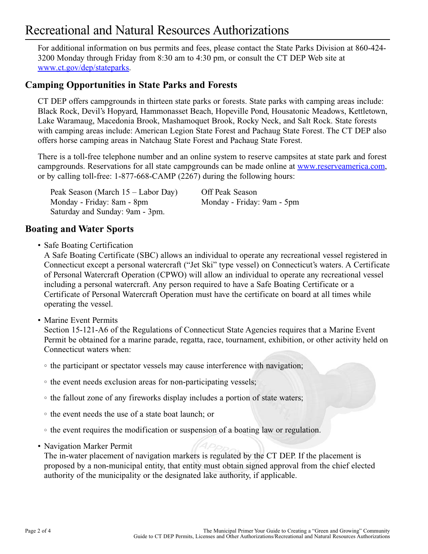## Recreational and Natural Resources Authorizations

For additional information on bus permits and fees, please contact the State Parks Division at 860-424- 3200 Monday through Friday from 8:30 am to 4:30 pm, or consult the CT DEP Web site at [www.ct.gov/dep/stateparks.](www.ct.gov/dep/stateparks)

### **Camping Opportunities in State Parks and Forests**

CT DEP offers campgrounds in thirteen state parks or forests. State parks with camping areas include: Black Rock, Devil's Hopyard, Hammonasset Beach, Hopeville Pond, Housatonic Meadows, Kettletown, Lake Waramaug, Macedonia Brook, Mashamoquet Brook, Rocky Neck, and Salt Rock. State forests with camping areas include: American Legion State Forest and Pachaug State Forest. The CT DEP also offers horse camping areas in Natchaug State Forest and Pachaug State Forest.

There is a toll-free telephone number and an online system to reserve campsites at state park and forest campgrounds. Reservations for all state campgrounds can be made online at [www.reserveamerica.com,](www.reserveamerica.com) or by calling toll-free: 1-877-668-CAMP (2267) during the following hours:

| Peak Season (March 15 – Labor Day) | Off Peak Season            |
|------------------------------------|----------------------------|
| Monday - Friday: 8am - 8pm         | Monday - Friday: 9am - 5pm |
| Saturday and Sunday: 9am - 3pm.    |                            |

### **Boating and Water Sports**

• Safe Boating Certification

A Safe Boating Certificate (SBC) allows an individual to operate any recreational vessel registered in Connecticut except a personal watercraft ("Jet Ski" type vessel) on Connecticut's waters. A Certificate of Personal Watercraft Operation (CPWO) will allow an individual to operate any recreational vessel including a personal watercraft. Any person required to have a Safe Boating Certificate or a Certificate of Personal Watercraft Operation must have the certificate on board at all times while operating the vessel.

• Marine Event Permits

Section 15-121-A6 of the Regulations of Connecticut State Agencies requires that a Marine Event Permit be obtained for a marine parade, regatta, race, tournament, exhibition, or other activity held on Connecticut waters when:

- the participant or spectator vessels may cause interference with navigation;
- the event needs exclusion areas for non-participating vessels;
- the fallout zone of any fireworks display includes a portion of state waters;
- the event needs the use of a state boat launch; or
- the event requires the modification or suspension of a boating law or regulation.
- Navigation Marker Permit

The in-water placement of navigation markers is regulated by the CT DEP. If the placement is proposed by a non-municipal entity, that entity must obtain signed approval from the chief elected authority of the municipality or the designated lake authority, if applicable.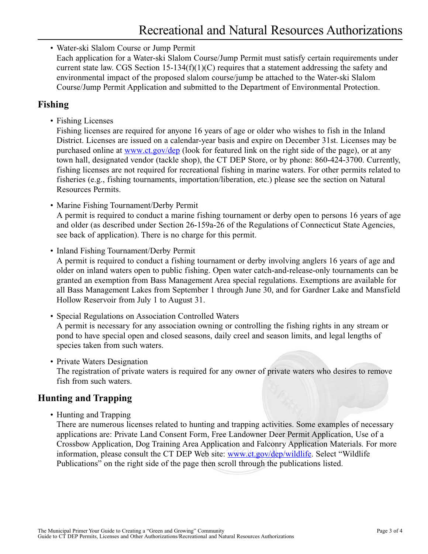• Water-ski Slalom Course or Jump Permit Each application for a Water-ski Slalom Course/Jump Permit must satisfy certain requirements under current state law. CGS Section  $15-134(f)(1)(C)$  requires that a statement addressing the safety and environmental impact of the proposed slalom course/jump be attached to the Water-ski Slalom Course/Jump Permit Application and submitted to the Department of Environmental Protection.

### **Fishing**

• Fishing Licenses

Fishing licenses are required for anyone 16 years of age or older who wishes to fish in the Inland District. Licenses are issued on a calendar-year basis and expire on December 31st. Licenses may be purchased online at<www.ct.gov/dep> (look for featured link on the right side of the page), or at any town hall, designated vendor (tackle shop), the CT DEP Store, or by phone: 860-424-3700. Currently, fishing licenses are not required for recreational fishing in marine waters. For other permits related to fisheries (e.g., fishing tournaments, importation/liberation, etc.) please see the section on Natural Resources Permits.

• Marine Fishing Tournament/Derby Permit

A permit is required to conduct a marine fishing tournament or derby open to persons 16 years of age and older (as described under Section 26-159a-26 of the Regulations of Connecticut State Agencies, see back of application). There is no charge for this permit.

• Inland Fishing Tournament/Derby Permit

A permit is required to conduct a fishing tournament or derby involving anglers 16 years of age and older on inland waters open to public fishing. Open water catch-and-release-only tournaments can be granted an exemption from Bass Management Area special regulations. Exemptions are available for all Bass Management Lakes from September 1 through June 30, and for Gardner Lake and Mansfield Hollow Reservoir from July 1 to August 31.

- Special Regulations on Association Controlled Waters A permit is necessary for any association owning or controlling the fishing rights in any stream or pond to have special open and closed seasons, daily creel and season limits, and legal lengths of species taken from such waters.
- Private Waters Designation

The registration of private waters is required for any owner of private waters who desires to remove fish from such waters.

### **Hunting and Trapping**

• Hunting and Trapping

There are numerous licenses related to hunting and trapping activities. Some examples of necessary applications are: Private Land Consent Form, Free Landowner Deer Permit Application, Use of a Crossbow Application, Dog Training Area Application and Falconry Application Materials. For more information, please consult the CT DEP Web site: [www.ct.gov/dep/wildlife.](www.ct.gov/dep/wildlife) Select "Wildlife Publications" on the right side of the page then scroll through the publications listed.